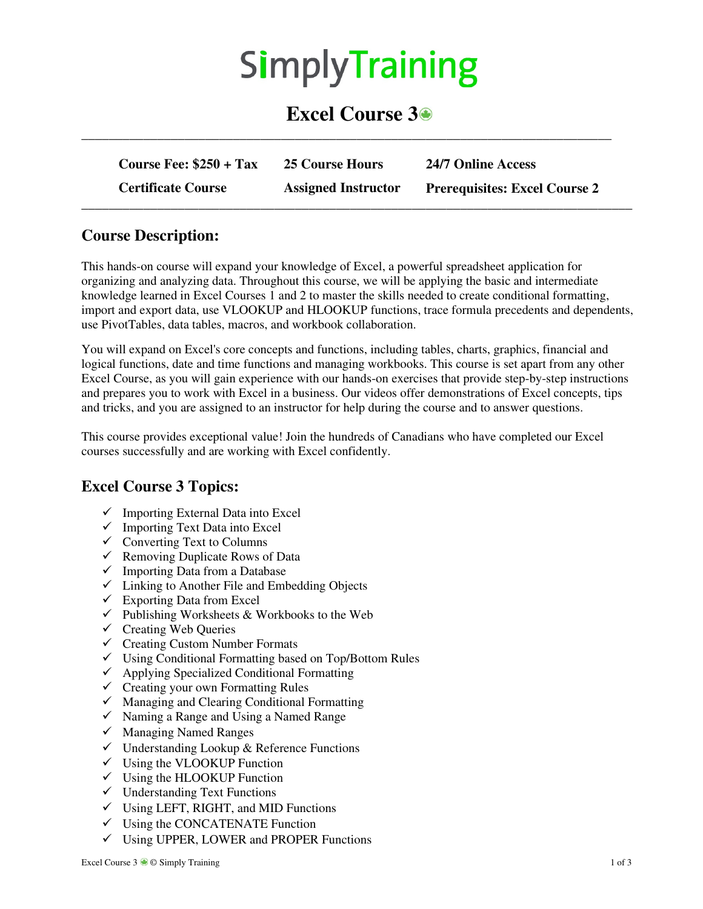# SimplyTraining

## **Excel Course 3**

| Course Fee: $$250 + Tax$  | 25 Course Hours            | 24/7 Online Access                   |
|---------------------------|----------------------------|--------------------------------------|
| <b>Certificate Course</b> | <b>Assigned Instructor</b> | <b>Prerequisites: Excel Course 2</b> |

**\_\_\_\_\_\_\_\_\_\_\_\_\_\_\_\_\_\_\_\_\_\_\_\_\_\_\_\_\_\_\_\_\_\_\_\_\_\_\_\_\_\_\_\_\_\_\_\_\_\_\_\_\_\_\_\_\_\_\_\_\_\_\_\_\_\_\_\_\_\_\_\_\_\_\_\_\_** 

#### **Course Description:**

This hands-on course will expand your knowledge of Excel, a powerful spreadsheet application for organizing and analyzing data. Throughout this course, we will be applying the basic and intermediate knowledge learned in Excel Courses 1 and 2 to master the skills needed to create conditional formatting, import and export data, use VLOOKUP and HLOOKUP functions, trace formula precedents and dependents, use PivotTables, data tables, macros, and workbook collaboration.

You will expand on Excel's core concepts and functions, including tables, charts, graphics, financial and logical functions, date and time functions and managing workbooks. This course is set apart from any other Excel Course, as you will gain experience with our hands-on exercises that provide step-by-step instructions and prepares you to work with Excel in a business. Our videos offer demonstrations of Excel concepts, tips and tricks, and you are assigned to an instructor for help during the course and to answer questions.

This course provides exceptional value! Join the hundreds of Canadians who have completed our Excel courses successfully and are working with Excel confidently.

#### **Excel Course 3 Topics:**

- $\checkmark$  Importing External Data into Excel
- $\checkmark$  Importing Text Data into Excel
- $\checkmark$  Converting Text to Columns
- $\checkmark$  Removing Duplicate Rows of Data
- $\checkmark$  Importing Data from a Database
- $\checkmark$  Linking to Another File and Embedding Objects
- $\checkmark$  Exporting Data from Excel
- $\checkmark$  Publishing Worksheets & Workbooks to the Web
- $\checkmark$  Creating Web Queries
- $\checkmark$  Creating Custom Number Formats
- Using Conditional Formatting based on Top/Bottom Rules
- $\checkmark$  Applying Specialized Conditional Formatting
- $\checkmark$  Creating your own Formatting Rules
- $\checkmark$  Managing and Clearing Conditional Formatting
- $\checkmark$  Naming a Range and Using a Named Range
- $\checkmark$  Managing Named Ranges
- $\checkmark$  Understanding Lookup & Reference Functions
- $\checkmark$  Using the VLOOKUP Function
- $\checkmark$  Using the HLOOKUP Function
- $\checkmark$  Understanding Text Functions
- $\checkmark$  Using LEFT, RIGHT, and MID Functions
- $\checkmark$  Using the CONCATENATE Function
- $\checkmark$  Using UPPER, LOWER and PROPER Functions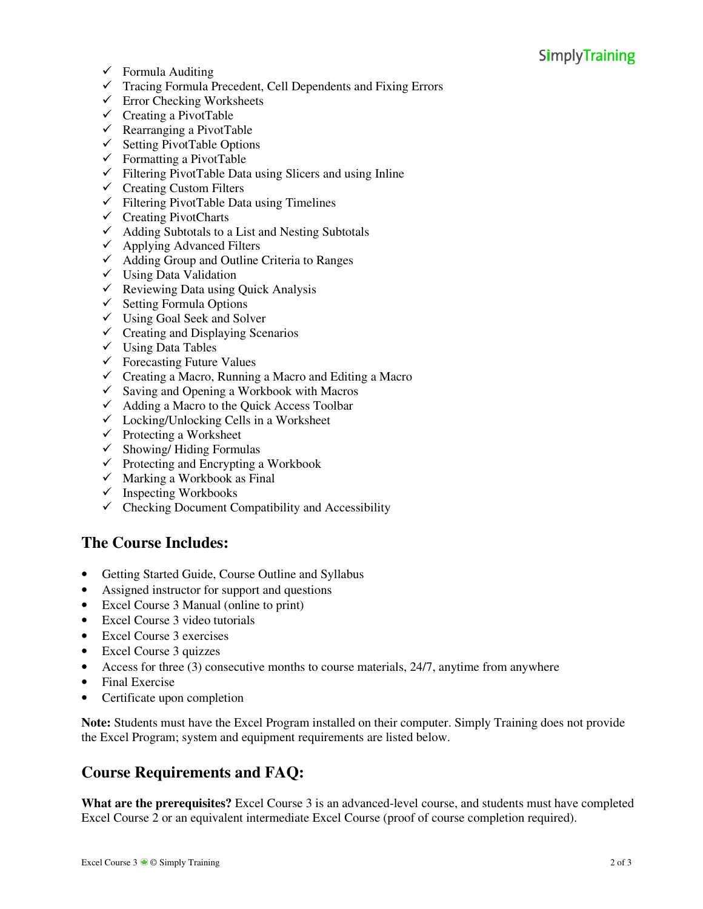### **SimplyTraining**

- $\checkmark$  Formula Auditing
- $\checkmark$  Tracing Formula Precedent, Cell Dependents and Fixing Errors
- $\checkmark$  Error Checking Worksheets
- $\checkmark$  Creating a PivotTable
- $\checkmark$  Rearranging a PivotTable
- $\checkmark$  Setting PivotTable Options
- $\checkmark$  Formatting a PivotTable
- $\checkmark$  Filtering PivotTable Data using Slicers and using Inline
- $\checkmark$  Creating Custom Filters
- $\checkmark$  Filtering PivotTable Data using Timelines
- $\checkmark$  Creating PivotCharts
- $\checkmark$  Adding Subtotals to a List and Nesting Subtotals
- $\checkmark$  Applying Advanced Filters
- $\checkmark$  Adding Group and Outline Criteria to Ranges
- $\checkmark$  Using Data Validation
- $\checkmark$  Reviewing Data using Quick Analysis
- $\checkmark$  Setting Formula Options
- $\checkmark$  Using Goal Seek and Solver
- $\checkmark$  Creating and Displaying Scenarios
- $\checkmark$  Using Data Tables
- $\checkmark$  Forecasting Future Values
- $\checkmark$  Creating a Macro, Running a Macro and Editing a Macro
- $\checkmark$  Saving and Opening a Workbook with Macros
- $\checkmark$  Adding a Macro to the Quick Access Toolbar
- $\checkmark$  Locking/Unlocking Cells in a Worksheet
- $\checkmark$  Protecting a Worksheet
- $\checkmark$  Showing/Hiding Formulas
- $\checkmark$  Protecting and Encrypting a Workbook
- $\checkmark$  Marking a Workbook as Final
- $\checkmark$  Inspecting Workbooks
- $\checkmark$  Checking Document Compatibility and Accessibility

#### **The Course Includes:**

- Getting Started Guide, Course Outline and Syllabus
- Assigned instructor for support and questions
- Excel Course 3 Manual (online to print)
- Excel Course 3 video tutorials
- Excel Course 3 exercises
- Excel Course 3 quizzes
- Access for three (3) consecutive months to course materials, 24/7, anytime from anywhere
- Final Exercise
- Certificate upon completion

**Note:** Students must have the Excel Program installed on their computer. Simply Training does not provide the Excel Program; system and equipment requirements are listed below.

#### **Course Requirements and FAQ:**

**What are the prerequisites?** Excel Course 3 is an advanced-level course, and students must have completed Excel Course 2 or an equivalent intermediate Excel Course (proof of course completion required).